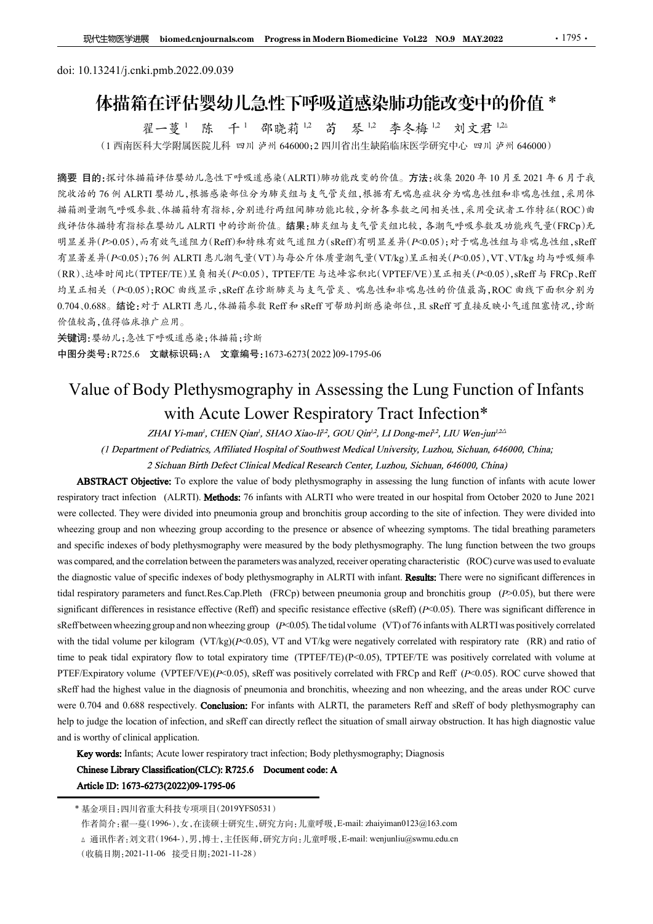# doi: 10.13241/j.cnki.pmb.2022.09.039 体描箱在评估婴幼儿急性下呼吸道感染肺功能改变中的价值 \* 邵晓莉 1,2 苟 琴 1,2 李冬梅 1,2 刘文君 1,2△

百在评估婴幼儿急性卜呼吸道感染肺功<br><sub>翟一蔓 '</sub> 陈 <sup>千 |</sup> 部晓莉 <sup>!2</sup> 苟 琴 <sup>!2</sup> 李冬梅

(<sup>1</sup> 西南医科大学附属医院儿科 四川 泸州 <sup>646000</sup>;<sup>2</sup> 四川省出生缺陷临床医学研究中心 四川 泸州 <sup>646000</sup>)

摘要 目的:探讨体描箱评估婴幼儿急性下呼吸道感染(ALRTI)肺功能改变的价值。方法:收集 2020 年 10 月至 2021 年 6 月于我 院收治的 76 例 ALRTI 婴幼儿,根据感染部位分为肺炎组与支气管炎组,根据有无喘息症状分为喘息性组和非喘息性组,采用体 描箱测量潮气呼吸参数、体描箱特有指标,分别进行两组间肺功能比较,分析各参数之间相关性,采用受试者工作特征(ROC)曲 线评估体描特有指标在婴幼儿 ALRTI 中的诊断价值。结果:肺炎组与支气管炎组比较,各潮气呼吸参数及功能残气量(FRCp)无 明显差异(P>0.05),而有效气道阻力(Reff)和特殊有效气道阻力(sReff)有明显差异(P<0.05);对于喘息性组与非喘息性组,sReff 有显著差异(P<0.05);76 例 ALRTI 患儿潮气量(VT)与每公斤体质量潮气量(VT/kg)呈正相关(P<0.05),VT、VT/kg 均与呼吸频率 (RR)、达峰时间比(TPTEF/TE)呈负相关(P<0.05),TPTEF/TE 与达峰容积比(VPTEF/VE)呈正相关(P<0.05),sReff 与 FRCp、Reff 均呈正相关(P<0.05);ROC 曲线显示,sReff 在诊断肺炎与支气管炎、喘息性和非喘息性的价值最高,ROC 曲线下面积分别为 0.704、0.688。结论:对于 ALRTI 患儿,体描箱参数 Reff 和 sReff 可帮助判断感染部位,且 sReff 可直接反映小气道阻塞情况,诊断 价值较高,值得临床推广应用。 **FPIMALLY IN SUBLITE IT 2.2001.2011**<br>
(1) 国際医療、学、統一科学研究所 2012年4月17年5月17日11日11日、第12年17月11日<br>
(1) 国際科大学開展医規制 可用多所 64600022 国川省出生網商家医学研究中小 四川 ま2021 年 6月子表<br>
(1) 国際科大学開展医規制 可用多所 64600022 国川省出生網商家医学研究中小 四川 ま2021 年 6月子表<br>
東田的:家讨体 文<br>「学問周医院儿科 四川 泸州 646000;2 四川 音出 一等一一等一个。 《人人名<br><br>学問周医院儿科 四川 浮州 646000;2 四川 音出 生脈 临床 安全時 《死在 2020年10月 左 2021年6月千成<br><br>休息 物、基急米部及会会 地域見過程を支持会長、市場、投資等公式、行事、公式を主任、未用 代<br>および、格式を学生の分類 東北 5支 全身に投資する方法、投資等を設立する場所で、特には<br>および、相違が、分別進行所知同部 2.1 Kenter the value of body plethysmography in assessing the lung function Driver we were those in the value of body plethysmography in assessing the plane function between the two groups of a lung function between the **\*\* 10** 5 infants infants infract infants with Acceleration (ALCT) infants with ALCT properties tract in the properties of  $\mathbb{R}$  in  $\mathbb{R}$  is a set of the state in  $\mathbb{R}$  is a set of the state in  $\mathbb{R}$  is a set

关键词:婴幼儿;急性下呼吸道感染;体描箱;诊断 中图分类号:R725.6 文献标识码:A 文章编号:1673-6273(2022)09-1795-06

were collected. They were divided into pneumonia group and bronchitis group according to the site of infection. They were divided into wheezing group and non wheezing group according to the presence or absence of wheezing symptoms. The tidal breathing parameters and specific indexes of body plethysmography in ALRT when the sign of Care and the contents in and the difference induced by the body, the specific indexes of body plethysmography. In Assessing the Lung Function of Infan Was compared, and the correlation of the correlation between the correlation between the correlation between the correlation between the correlation between the correlation between the correlation between the correlation  $\sigma_1 = 2.44$  and  $6.84$  and  $\mu$  and  $\mu$  and  $\mu$  and  $\mu$  and  $\mu$  and  $\mu$  and  $\mu$  and  $\mu$  and  $\mu$  and  $\mu$  and  $\mu$  and  $\mu$  and  $\mu$  and  $\mu$  and  $\mu$  and  $\mu$  and  $\mu$  and  $\mu$  and  $\mu$  and  $\mu$  and  $\mu$  and  $\mu$ the respect of the spiral restriction in the spiral respiratory parameters and and the restriction of infants.<br>
<br>
<br>  $\frac{2}{3}$ <br>  $\frac{2}{3}$ <br>  $\frac{2}{3}$ <br>  $\frac{2}{3}$ <br>  $\frac{2}{3}$ <br>  $\frac{2}{3}$ <br>  $\frac{2}{3}$ <br>  $\frac{2}{3}$ <br>  $\frac{2}{3}$ <br>  $\frac{2$ **FREE 97: Excel of Body Plethysmography in ASSessing the Lung Function of Infants<br>
Web 19: モデリデザ エキング・文学 (Biggin And Specifical Content Respiratory Tract Infection<sup>\*</sup><br>
ZHAI Yi-man', CHEN Qian; SHAO Xiao-Fi-, GOU Qin<sup>2</sup>, Nature of Boody Plethysmography wite measured of the Lung Function of Infants when**  $\frac{1}{2}$  **and**  $\frac{1}{2}$  **and**  $\frac{1}{2}$  **and**  $\frac{1}{2}$  **and**  $\frac{1}{2}$  **and**  $\frac{1}{2}$  **and**  $\frac{1}{2}$  **and**  $\frac{1}{2}$  **and**  $\frac{1}{2}$  **and**  $\frac{1}{2}$  **a** Waltime of Boody Plethysmography in Assessing the Lung Function of Infants<br>with Acute Lower Respiratory Tract Infection\*<br> $ZIAA1Yismmi$ ,  $CIIASQwin$ ,  $SIAOXabi-iF$ ,  $GOUQini'$ ,  $LIDorgmu's'$ ,  $LIVwijmi''$ ,<br> $I(Drqundmum')$ ,  $Z.1EAM Yismmi$ ,  $CIIASQwin$ ,  $SIAQXabi$ Value of Body Plethysmography in Assessing the Lung Function of Infants<br>
with Acute Lower Respiratory Tract Infection\*<br>
HAI Yi-man', CHEN Olan', SHAO Xao-Fi<sup>2</sup>, GOU On<sup>2</sup>, LI Dong-me<sup>2</sup>, LII Wen-jum<sup>22</sup><br>
(*I Department of* VAIUE OF BOOIY PIEIINYSIMOgraphy in ASSESSITIG The Lung PUInction of Inflants<br>
With Acute Lower Respiratory Tract Infection\*<br>
THU  $\pi$  CHU  $\pi$  CHU  $\pi$  CHU  $\pi$  CHU  $\pi$  CHU  $\pi$  CHU  $\pi$  CHU  $\pi$  CHU  $\pi$  CHU  $\pi$  CHU With Acute Lower Respiratory Tract Infection\*<br>
ZIMY interior SHAO Yien: SHAO Yien:<sup>1</sup> COU Oie", LID organes', LIU Wen-jat-<br>
(1 Department of Polain's, Affiliated Hopital of Southwast Michael Step (2) Cabon, Schain, 646000 ZHAI Yi-man', CHEN Qiari, SHAO Xiao-IF<sup>2</sup>, GOU Qin<sup>i)</sup>, LI Dong-mel<sup>2</sup>. LI U Wen-jan<sup>23</sup>.<br>
(*l* Department of Pediatrics, Affiliated Hospital of Southwest Modical University, Lazbou, Schinan, 666000, Chian:<br> **ABSTRACT Ob** (*1 Department of Pediarics, Affiliated Hospital of Southwest Medical University, Enzhon, Sichuan, 646000, China,<br>
2 Sichuan Birth Defect Clinical Aesearch Center, Ludou, Sichuan, 646000, China,<br>
2 Sichuan Birth Defect Cl* 2 Sichuan Birth Defect Clinical Medical Research Center, Luzhou, Sichuan, 646000, Chinay<br>2 Sichuan Birth Defect Clinical Medical Research Center, Luzhou, Sichuan, 646000, Chinay<br>
and specific induces transfering (ALRTI). **ABSTRACT Objective:** To explore the value of body plethysmography in assessing the lang function of infants with acut lower<br>trainivy tract infections (ALRTI). **Methods**: 76 infinits with ALRTI who were treated in our hos scrific indexes of body plethysmography were measured by the body plethysmography. The lang function between the two groups<br>mynoric and the correlation between the parameters vasa analyzed, receiver operating characteri suppared, und the correlation between the parameters was analyzed, receiver operating characteristic (ROC) curve was used to evaluate of positive interspeads value of specific indetects. in the parameters and increase in

<sup>(</sup>收稿日期:2021-11-06 接受日期:2021-11-28)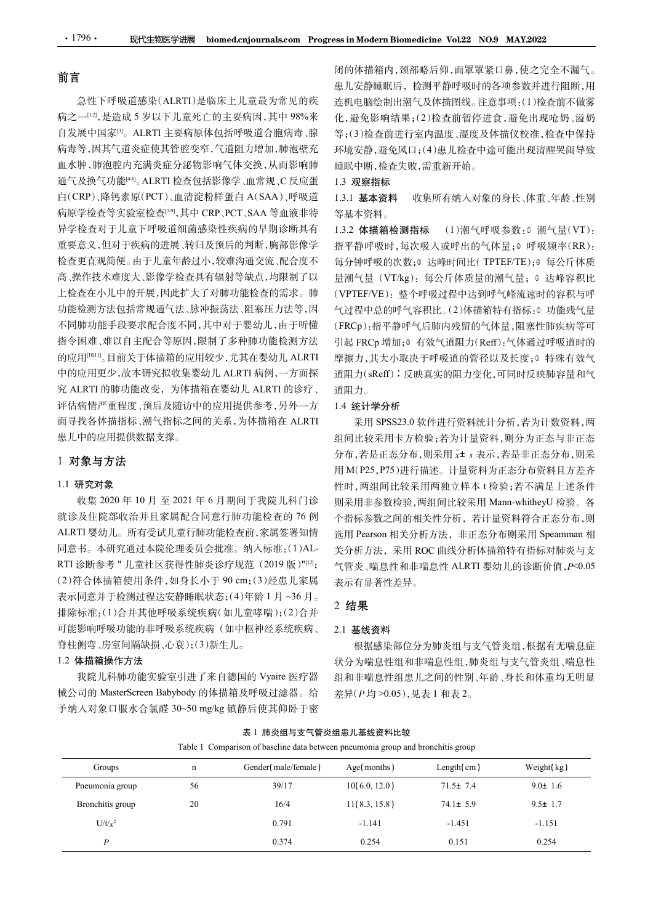# 前言

急性下呼吸道感染(ALRTI)是临床上儿童最为常见的疾 病之一[12],是造成 5 岁以下儿童死亡的主要病因,其中 98%来 自发展中国家<sup>[3]</sup>。ALRTI 主要病原体包括呼吸道合胞病毒、腺 等;( 病毒等,因其气道炎症使其管腔变窄,气道阻力增加,肺泡壁充 血水肿,肺泡腔内充满炎症分泌物影响气体交换,从而影响肺 通气及换气功能[40]。ALRTI 检查包括影像学、血常规、C 反应蛋 1.3 **观察指标** 白(CRP)、降钙素原(PCT)、血清淀粉样蛋白 A(SAA)、呼吸道 1.3.1 基本资料 病原学检查等实验室检查[7-9],其中 CRP、PCT、SAA 等血液非特 异学检查对于儿童下呼吸道细菌感染性疾病的早期诊断具有 1.3.2 体描箱检测指标 重要意义,但对于疾病的进展、转归及预后的判断,胸部影像学 检查更直观简便。由于儿童年龄过小,较难沟通交流、配合度不 高、操作技术难度大、影像学检查具有辐射等缺点,均限制了以 上检查在小儿中的开展,因此扩大了对肺功能检查的需求。肺 功能检测方法包括常规通气法、脉冲振荡法、阻塞压力法等,因 不同肺功能手段要求配合度不同,其中对于婴幼儿,由于听懂 指令困难、难以自主配合等原因,限制了多种肺功能检测方法 的应用[10,11]。目前关于体描箱的应用较少,尤其在婴幼儿 ALRTI 中的应用更少,故本研究拟收集婴幼儿 ALRTI 病例,一方面探 究 ALRTI 的肺功能改变,为体描箱在婴幼儿 ALRTI 的诊疗、 评估病情严重程度、预后及随访中的应用提供参考,另外一方 面寻找各体描指标、潮气指标之间的关系,为体描箱在 ALRTI 患儿中的应用提供数据支撑。

# 1 对象与方法

# 1.1 研究对象

收集 <sup>2020</sup> <sup>年</sup> <sup>10</sup> 月 至 <sup>2021</sup> <sup>年</sup> <sup>6</sup> 月期间于我院儿科门诊 就诊及住院部收治并且家属配合同意行肺功能检查的 76 例 ALRTI 婴幼儿。所有受试儿童行肺功能检查前,家属签署知情 同意书。本研究通过本院伦理委员会批准。纳入标准:(1)AL-RTI 诊断参考"儿童社区获得性肺炎诊疗规范 (2019版)"[12]; 表示同意并于检测过程达安静睡眠状态;(4)年龄 1 月 ~36 月。 排除标准:(1)合并其他呼吸系统疾病(如儿童哮喘);(2)合并 可能影响呼吸功能的非呼吸系统疾病(如中枢神经系统疾病、 脊柱侧弯、房室间隔缺损、心衰);(3)新生儿。 械公司的 MasterScreen Babybody 的体描箱及呼吸过滤器。给 (1) The polymon of the controlled and the controlled and the controlled and the controlled and the controlled and the controlled and the controlled and the controlled and the controlled and the controlled and the contro

# 1.2 体描箱操作方法

闭的体描箱内,颈部略后仰,面罩罩紧口鼻,使之完全不漏气。 患儿安静睡眠后,检测平静呼吸时的各项参数并进行阻断,用 连机电脑绘制出潮气及体描图线。注意事项:(1)检查前不做雾 化,避免影响结果;(2)检查前暂停进食,避免出现呛奶、溢奶 等;(3)检查前进行室内温度、湿度及体描仪校准,检查中保持 环境安静,避免风口;(4)患儿检查中途可能出现清醒哭闹导致 睡眠中断,检查失败,需重新开始。

## 1.3 观察指标

收集所有纳入对象的身长、体重、年龄、性别 等基本资料。

(1)潮气呼吸参数:0 潮气量(VT): 指平静呼吸时,每次吸入或呼出的气体量;<sup>②</sup> 呼吸频率(RR): 每分钟呼吸的次数;<sup>③</sup> 达峰时间比(TPTEF/TE);<sup>④</sup> 每公斤体质 量潮气量(VT/kg): 每公斤体质量的潮气量; © 达峰容积比 (VPTEF/VE):整个呼吸过程中达到呼气峰流速时的容积与呼 气过程中总的呼气容积比。(2)体描箱特有指标:<sup>①</sup> 功能残气量 (FRCp):指平静呼气后肺内残留的气体量,阻塞性肺疾病等可 引起 FRCp 增加; 方效气道阻力(Reff):气体通过呼吸道时的 摩擦力,其大小取决于呼吸道的管径以及长度;<sup>③</sup> 特殊有效气 道阻力(sReff)∶反映真实的阻力变化,可同时反映肺容量和气 道阻力。

## 1.4 统计学分析

<sup>[12]</sup>; 气管炎、喘息性和非喘息性 ALRTI 婴幼儿的诊断价值, P<0.05 工成业化中的产品,以前进行的需求。1998年,1998年,1998年,1998年,1998年,1998年,1998年,1998年,1998年,1998年,1998年,1998年,1998年,1998年,1998年,1998年,1998年,1998年,1998年,1998年,1998年,1998年,1998年,1998年,1998年,1998年,1998年,1998年,1998年,1998年,1998年,1998年,1998年,1998年 采用 SPSS23.0 软件进行资料统计分析,若为计数资料,两 组间比较采用卡方检验;若为计量资料,则分为正态与非正态 分布,若是正态分布,则采用 x± s 表示,若是非正态分布,则采 用 M(P25,P75)进行描述。计量资料为正态分布资料且方差齐 性时,两组间比较采用两独立样本 t 检验;若不满足上述条件 则采用非参数检验,两组间比较采用 Mann-whitheyU 检验。各 个指标参数之间的相关性分析,若计量资料符合正态分布,则 选用 Pearson 相关分析方法,非正态分布则采用 Speamman 相 关分析方法,采用 ROC 曲线分析体描箱特有指标对肺炎与支 表示有显著性差异。

# 2 结果

## 2.1 基线资料

| 1 川豕刁刀広                                 |    |                                                                                  |                     |                      | 用 M(P25, P75)进行描述。计量资料为正态分布资料且方差齐      |  |
|-----------------------------------------|----|----------------------------------------------------------------------------------|---------------------|----------------------|----------------------------------------|--|
| 1.1 研究对象                                |    |                                                                                  |                     |                      | 性时,两组间比较采用两独立样本 t 检验;若不满足上述条件          |  |
|                                         |    | 收集 2020年10月至 2021年6月期间于我院儿科门诊                                                    |                     |                      | 则采用非参数检验,两组间比较采用 Mann-whitheyU 检验。各    |  |
| 就诊及住院部收治并且家属配合同意行肺功能检查的 76例             |    |                                                                                  |                     |                      | 个指标参数之间的相关性分析,若计量资料符合正态分布,则            |  |
| ALRTI 婴幼儿。所有受试儿童行肺功能检查前,家属签署知情          |    |                                                                                  |                     |                      | 选用 Pearson 相关分析方法, 非正态分布则采用 Speamman 相 |  |
| 同意书。本研究通过本院伦理委员会批准。纳入标准:(1)AL-          |    |                                                                                  |                     |                      | 关分析方法, 采用 ROC 曲线分析体描箱特有指标对肺炎与支         |  |
| RTI 诊断参考"儿童社区获得性肺炎诊疗规范 (2019版)"[12];    |    |                                                                                  |                     |                      | 气管炎、喘息性和非喘息性 ALRTI 婴幼儿的诊断价值, P<0.05    |  |
| (2) 符合体描箱使用条件, 如身长小于 90 cm; (3) 经患儿家属   |    |                                                                                  | 表示有显著性差异。           |                      |                                        |  |
| 表示同意并于检测过程达安静睡眠状态;(4)年龄1月~36月。          |    |                                                                                  |                     |                      |                                        |  |
| 排除标准:(1)合并其他呼吸系统疾病(如儿童哮喘);(2)合并         |    |                                                                                  | 2 结果                |                      |                                        |  |
| 可能影响呼吸功能的非呼吸系统疾病(如中枢神经系统疾病、             |    |                                                                                  | 2.1 基线资料            |                      |                                        |  |
| 脊柱侧弯、房室间隔缺损、心衰);(3)新生儿。                 |    |                                                                                  |                     |                      | 根据感染部位分为肺炎组与支气管炎组,根据有无喘息症              |  |
| 1.2 体描箱操作方法                             |    |                                                                                  |                     |                      | 状分为喘息性组和非喘息性组,肺炎组与支气管炎组、喘息性            |  |
|                                         |    | 我院儿科肺功能实验室引进了来自德国的 Vyaire 医疗器                                                    |                     |                      | 组和非喘息性组患儿之间的性别、年龄、身长和体重均无明显            |  |
| 械公司的 MasterScreen Babybody 的体描箱及呼吸过滤器。给 |    |                                                                                  | 差异(P均>0.05),见表1和表2。 |                      |                                        |  |
| 予纳入对象口服水合氯醛 30~50 mg/kg 镇静后使其仰卧于密       |    |                                                                                  |                     |                      |                                        |  |
|                                         |    | 表 1 肺炎组与支气管炎组患儿基线资料比较                                                            |                     |                      |                                        |  |
|                                         |    | Table 1 Comparison of baseline data between pneumonia group and bronchitis group |                     |                      |                                        |  |
| Groups                                  | n  | Gender(male/female)                                                              | Age(months)         | Length $(\text{cm})$ | Weight(kg)                             |  |
| Pneumonia group                         | 56 | 39/17                                                                            | 10(6.0, 12.0)       | $71.5 \pm 7.4$       | $9.0 \pm 1.6$                          |  |
| Bronchitis group                        | 20 | 16/4                                                                             | 11(8.3, 15.8)       | $74.1 \pm 5.9$       | $9.5 \pm 1.7$                          |  |
| $U/t/x^2$                               |    | 0.791                                                                            | $-1.141$            | $-1.451$             | $-1.151$                               |  |
| $\boldsymbol{P}$                        |    | 0.374                                                                            | 0.254               | 0.151                | 0.254                                  |  |
|                                         |    |                                                                                  |                     |                      |                                        |  |
|                                         |    |                                                                                  |                     |                      |                                        |  |
|                                         |    |                                                                                  |                     |                      |                                        |  |
|                                         |    |                                                                                  |                     |                      |                                        |  |
|                                         |    |                                                                                  |                     |                      |                                        |  |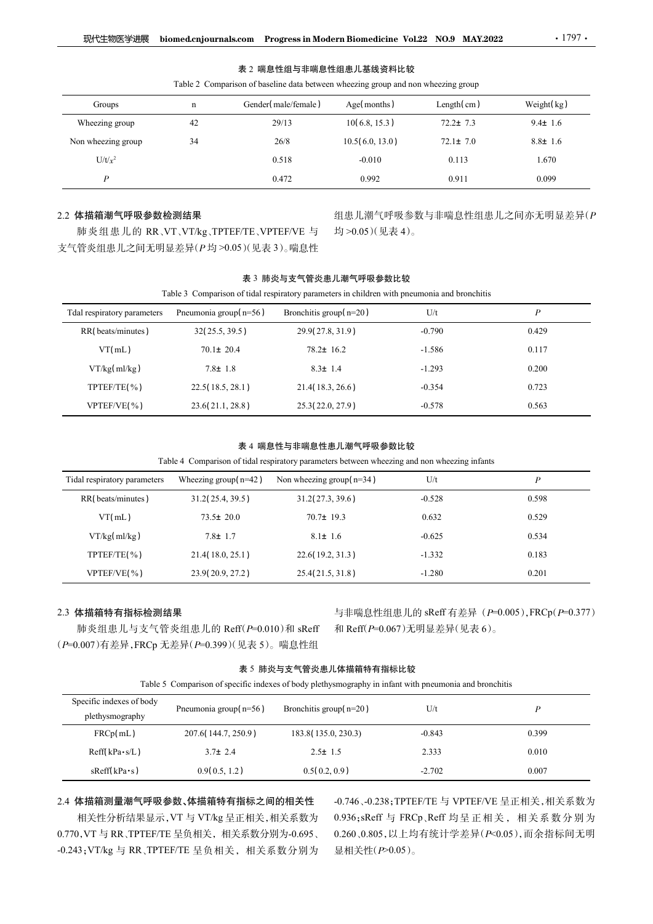|                                  | biomed.cnjournals.com Progress in Modern Biomedicine Vol.22 NO.9 MAY.2022                    |                        |                        |                | $.1797$ .                   |
|----------------------------------|----------------------------------------------------------------------------------------------|------------------------|------------------------|----------------|-----------------------------|
| 现代生物医学进展                         |                                                                                              |                        |                        |                |                             |
|                                  |                                                                                              |                        | 表 2 喘息性组与非喘息性组患儿基线资料比较 |                |                             |
|                                  | Table 2 Comparison of baseline data between wheezing group and non wheezing group            |                        |                        |                |                             |
| Groups                           | $\mathbf n$                                                                                  | Gender(male/female)    | Age(months)            | Length(cm)     | Weight(kg)                  |
| Wheezing group                   | 42                                                                                           | 29/13                  | 10(6.8, 15.3)          | $72.2 \pm 7.3$ | $9.4 \pm 1.6$               |
| Non wheezing group               | 34                                                                                           | 26/8                   | 10.5(6.0, 13.0)        | $72.1 \pm 7.0$ | $8.8 \pm 1.6$               |
| $U/t/x^2$                        |                                                                                              | 0.518                  | $-0.010$               | 0.113          | 1.670                       |
| $\boldsymbol{P}$                 |                                                                                              | 0.472                  | 0.992                  | 0.911          | 0.099                       |
|                                  |                                                                                              |                        |                        |                |                             |
| 2.2 体描箱潮气呼吸参数检测结果                |                                                                                              |                        |                        |                | 组患儿潮气呼吸参数与非喘息性组患儿之间亦无明显差异(P |
| 支气管炎组患儿之间无明显差异(P均>0.05)(见表3)。喘息性 | 肺炎组患儿的 RR、VT、VT/kg、TPTEF/TE、VPTEF/VE 与                                                       |                        | 均>0.05)(见表4)。          |                |                             |
|                                  |                                                                                              |                        |                        |                |                             |
|                                  |                                                                                              |                        | 表 3 肺炎与支气管炎患儿潮气呼吸参数比较  |                |                             |
|                                  | Table 3 Comparison of tidal respiratory parameters in children with pneumonia and bronchitis |                        |                        |                |                             |
| Tdal respiratory parameters      | Pneumonia group(n=56)                                                                        | Bronchitis group(n=20) |                        | $U/t$          | $\boldsymbol{P}$            |
| RR(beats/minutes)                | 32(25.5, 39.5)                                                                               | 29.9(27.8, 31.9)       |                        | $-0.790$       | 0.429                       |
| VT(mL)                           | $70.1 \pm 20.4$                                                                              | 78.2± 16.2             |                        | $-1.586$       | 0.117                       |
|                                  |                                                                                              |                        |                        |                |                             |
| VT/kg(ml/kg)                     | $7.8 \pm 1.8$                                                                                | $8.3 \pm 1.4$          |                        | $-1.293$       | 0.200                       |

## 表 2 喘息性组与非喘息性组患儿基线资料比较

# 2.2 体描箱潮气呼吸参数检测结果

|                                                                  |                                                                                                                                                                                                                                                                                                                                                                                                                                                                                         | 表 2 喘息性组与非喘息性组患儿基线资料比较                                                                                                                                                                                                                                                                                                                                                                                                                                                                  |                 |                                                                                              |                  |
|------------------------------------------------------------------|-----------------------------------------------------------------------------------------------------------------------------------------------------------------------------------------------------------------------------------------------------------------------------------------------------------------------------------------------------------------------------------------------------------------------------------------------------------------------------------------|-----------------------------------------------------------------------------------------------------------------------------------------------------------------------------------------------------------------------------------------------------------------------------------------------------------------------------------------------------------------------------------------------------------------------------------------------------------------------------------------|-----------------|----------------------------------------------------------------------------------------------|------------------|
|                                                                  | Table 2 Comparison of baseline data between wheezing group and non wheezing group                                                                                                                                                                                                                                                                                                                                                                                                       |                                                                                                                                                                                                                                                                                                                                                                                                                                                                                         |                 |                                                                                              |                  |
| Groups                                                           | n                                                                                                                                                                                                                                                                                                                                                                                                                                                                                       | Gender(male/female)                                                                                                                                                                                                                                                                                                                                                                                                                                                                     | Age(months)     | Length $(\text{cm})$                                                                         | Weight(kg)       |
| Wheezing group                                                   | 42                                                                                                                                                                                                                                                                                                                                                                                                                                                                                      | 29/13                                                                                                                                                                                                                                                                                                                                                                                                                                                                                   | 10(6.8, 15.3)   | $72.2 \pm 7.3$                                                                               | $9.4 \pm 1.6$    |
| Non wheezing group                                               | 34                                                                                                                                                                                                                                                                                                                                                                                                                                                                                      | 26/8                                                                                                                                                                                                                                                                                                                                                                                                                                                                                    | 10.5(6.0, 13.0) | $72.1 \pm 7.0$                                                                               | $8.8 \pm 1.6$    |
| $U/t/x^2$                                                        |                                                                                                                                                                                                                                                                                                                                                                                                                                                                                         | 0.518                                                                                                                                                                                                                                                                                                                                                                                                                                                                                   | $-0.010$        | 0.113                                                                                        | 1.670            |
| $\boldsymbol{P}$                                                 |                                                                                                                                                                                                                                                                                                                                                                                                                                                                                         | 0.472                                                                                                                                                                                                                                                                                                                                                                                                                                                                                   | 0.992           | 0.911                                                                                        | 0.099            |
| .2 体描箱潮气呼吸参数检测结果                                                 |                                                                                                                                                                                                                                                                                                                                                                                                                                                                                         |                                                                                                                                                                                                                                                                                                                                                                                                                                                                                         |                 | 组患儿潮气呼吸参数与非喘息性组患儿之间亦无明显差异(P                                                                  |                  |
| 肺炎组患儿的 RR、VT、VT/kg、TPTEF/TE、VPTEF/VE 与                           |                                                                                                                                                                                                                                                                                                                                                                                                                                                                                         |                                                                                                                                                                                                                                                                                                                                                                                                                                                                                         | 均>0.05)(见表4)。   |                                                                                              |                  |
| 文气管炎组患儿之间无明显差异(P均>0.05)(见表3)。喘息性                                 |                                                                                                                                                                                                                                                                                                                                                                                                                                                                                         |                                                                                                                                                                                                                                                                                                                                                                                                                                                                                         |                 |                                                                                              |                  |
|                                                                  |                                                                                                                                                                                                                                                                                                                                                                                                                                                                                         |                                                                                                                                                                                                                                                                                                                                                                                                                                                                                         |                 |                                                                                              |                  |
|                                                                  |                                                                                                                                                                                                                                                                                                                                                                                                                                                                                         | 表 3 肺炎与支气管炎患儿潮气呼吸参数比较                                                                                                                                                                                                                                                                                                                                                                                                                                                                   |                 |                                                                                              |                  |
|                                                                  |                                                                                                                                                                                                                                                                                                                                                                                                                                                                                         |                                                                                                                                                                                                                                                                                                                                                                                                                                                                                         |                 | Table 3 Comparison of tidal respiratory parameters in children with pneumonia and bronchitis |                  |
| Tdal respiratory parameters                                      | Pneumonia group( $n=56$ )                                                                                                                                                                                                                                                                                                                                                                                                                                                               | Bronchitis group( $n=20$ )                                                                                                                                                                                                                                                                                                                                                                                                                                                              |                 | U/t                                                                                          | $\boldsymbol{P}$ |
| RR(beats/minutes)                                                | 32(25.5, 39.5)                                                                                                                                                                                                                                                                                                                                                                                                                                                                          | 29.9(27.8, 31.9)                                                                                                                                                                                                                                                                                                                                                                                                                                                                        |                 | $-0.790$                                                                                     | 0.429            |
| VT(mL)                                                           | $70.1 \pm 20.4$                                                                                                                                                                                                                                                                                                                                                                                                                                                                         | $78.2 \pm 16.2$                                                                                                                                                                                                                                                                                                                                                                                                                                                                         |                 | $-1.586$                                                                                     | 0.117            |
| VT/kg(ml/kg)                                                     | $7.8 \pm 1.8$                                                                                                                                                                                                                                                                                                                                                                                                                                                                           | $8.3 \pm 1.4$                                                                                                                                                                                                                                                                                                                                                                                                                                                                           |                 | $-1.293$                                                                                     | 0.200            |
| TPTEF/TE(%)                                                      | 22.5(18.5, 28.1)                                                                                                                                                                                                                                                                                                                                                                                                                                                                        | 21.4(18.3, 26.6)                                                                                                                                                                                                                                                                                                                                                                                                                                                                        |                 | $-0.354$                                                                                     | 0.723            |
| VPTEF/VE(%)                                                      | 23.6(21.1, 28.8)                                                                                                                                                                                                                                                                                                                                                                                                                                                                        | 25.3(22.0, 27.9)                                                                                                                                                                                                                                                                                                                                                                                                                                                                        |                 | $-0.578$                                                                                     | 0.563            |
|                                                                  |                                                                                                                                                                                                                                                                                                                                                                                                                                                                                         |                                                                                                                                                                                                                                                                                                                                                                                                                                                                                         |                 |                                                                                              |                  |
|                                                                  |                                                                                                                                                                                                                                                                                                                                                                                                                                                                                         | 表 4 喘息性与非喘息性患儿潮气呼吸参数比较                                                                                                                                                                                                                                                                                                                                                                                                                                                                  |                 | Table 4 Comparison of tidal respiratory parameters between wheezing and non wheezing infants |                  |
| Tidal respiratory parameters                                     | Wheezing group( $n=42$ )                                                                                                                                                                                                                                                                                                                                                                                                                                                                | Non wheezing group( $n=34$ )                                                                                                                                                                                                                                                                                                                                                                                                                                                            |                 | U/t                                                                                          | $\boldsymbol{P}$ |
| RR(beats/minutes)                                                | 31.2(25.4, 39.5)                                                                                                                                                                                                                                                                                                                                                                                                                                                                        | 31.2(27.3, 39.6)                                                                                                                                                                                                                                                                                                                                                                                                                                                                        |                 | $-0.528$                                                                                     | 0.598            |
| VT(mL)                                                           | $73.5 \pm 20.0$                                                                                                                                                                                                                                                                                                                                                                                                                                                                         | $70.7 \pm 19.3$                                                                                                                                                                                                                                                                                                                                                                                                                                                                         |                 | 0.632                                                                                        | 0.529            |
| VT/kg(ml/kg)                                                     | $7.8 \pm 1.7$                                                                                                                                                                                                                                                                                                                                                                                                                                                                           | $8.1 \pm 1.6$                                                                                                                                                                                                                                                                                                                                                                                                                                                                           |                 | $-0.625$                                                                                     | 0.534            |
| TPTEF/TE(%)                                                      | 21.4(18.0, 25.1)                                                                                                                                                                                                                                                                                                                                                                                                                                                                        | 22.6(19.2, 31.3)                                                                                                                                                                                                                                                                                                                                                                                                                                                                        |                 | $-1.332$                                                                                     | 0.183            |
| when there were the contract of $\mathcal{A} \times \mathcal{A}$ | $\begin{array}{ccccccccccccccccc} \multicolumn{2}{c}{} & \multicolumn{2}{c}{} & \multicolumn{2}{c}{} & \multicolumn{2}{c}{} & \multicolumn{2}{c}{} & \multicolumn{2}{c}{} & \multicolumn{2}{c}{} & \multicolumn{2}{c}{} & \multicolumn{2}{c}{} & \multicolumn{2}{c}{} & \multicolumn{2}{c}{} & \multicolumn{2}{c}{} & \multicolumn{2}{c}{} & \multicolumn{2}{c}{} & \multicolumn{2}{c}{} & \multicolumn{2}{c}{} & \multicolumn{2}{c}{} & \multicolumn{2}{c}{} & \multicolumn{2}{c}{} &$ | $\begin{array}{ccccccccccccccccc} \multicolumn{4}{c}{} & \multicolumn{4}{c}{} & \multicolumn{4}{c}{} & \multicolumn{4}{c}{} & \multicolumn{4}{c}{} & \multicolumn{4}{c}{} & \multicolumn{4}{c}{} & \multicolumn{4}{c}{} & \multicolumn{4}{c}{} & \multicolumn{4}{c}{} & \multicolumn{4}{c}{} & \multicolumn{4}{c}{} & \multicolumn{4}{c}{} & \multicolumn{4}{c}{} & \multicolumn{4}{c}{} & \multicolumn{4}{c}{} & \multicolumn{4}{c}{} & \multicolumn{4}{c}{} & \multicolumn{4}{c}{} &$ |                 | .                                                                                            | .                |

表 4 喘息性与非喘息性患儿潮气呼吸参数比较

|                                             |                                     | 表 3 肺炎与支气管炎患儿潮气呼吸参数比较                                                                                                            |                             |                                              |
|---------------------------------------------|-------------------------------------|----------------------------------------------------------------------------------------------------------------------------------|-----------------------------|----------------------------------------------|
|                                             |                                     | Table 3 Comparison of tidal respiratory parameters in children with pneumonia and bronchitis                                     |                             |                                              |
| Tdal respiratory parameters                 | Pneumonia group $(n=56)$            | Bronchitis group( $n=20$ )                                                                                                       | U/t                         | $\boldsymbol{P}$                             |
| RR(beats/minutes)                           | 32(25.5, 39.5)                      | 29.9(27.8, 31.9)                                                                                                                 | $-0.790$                    | 0.429                                        |
| VT(mL)                                      | $70.1 \pm 20.4$                     | $78.2 \pm 16.2$                                                                                                                  | $-1.586$                    | 0.117                                        |
| VT/kg(ml/kg)                                | $7.8 \pm 1.8$                       | $8.3 \pm 1.4$                                                                                                                    | $-1.293$                    | 0.200                                        |
| TPTEF/TE(%)                                 | 22.5 (18.5, 28.1)                   | 21.4(18.3, 26.6)                                                                                                                 | $-0.354$                    | 0.723                                        |
| VPTEF/VE(%)                                 | 23.6(21.1, 28.8)                    | 25.3(22.0, 27.9)                                                                                                                 | $-0.578$                    | 0.563                                        |
|                                             |                                     | 表 4 喘息性与非喘息性患儿潮气呼吸参数比较<br>Table 4 Comparison of tidal respiratory parameters between wheezing and non wheezing infants           |                             |                                              |
| Tidal respiratory parameters                | Wheezing group( $n=42$ )            | Non wheezing group( $n=34$ )                                                                                                     | U/t                         | $\boldsymbol{P}$                             |
| RR(beats/minutes)                           | 31.2(25.4, 39.5)                    | 31.2(27.3, 39.6)                                                                                                                 | $-0.528$                    | 0.598                                        |
| VT(mL)                                      | $73.5 \pm 20.0$                     | $70.7 \pm 19.3$                                                                                                                  | 0.632                       | 0.529                                        |
| VT/kg(ml/kg)                                | $7.8 \pm 1.7$                       | $8.1 \pm 1.6$                                                                                                                    | $-0.625$                    | 0.534                                        |
| TPTEF/TE(%)                                 | 21.4(18.0, 25.1)                    | 22.6(19.2, 31.3)                                                                                                                 | $-1.332$                    | 0.183                                        |
| VPTEF/VE(%)                                 | 23.9 (20.9, 27.2)                   | 25.4(21.5, 31.8)                                                                                                                 | $-1.280$                    | 0.201                                        |
| 3 体描箱特有指标检测结果                               | 肺炎组患儿与支气管炎组患儿的 Reff(P=0.010)和 sReff |                                                                                                                                  | 和 Reff(P=0.067)无明显差异(见表 6)。 | 与非喘息性组患儿的 sReff 有差异 (P=0.005), FRCp(P=0.377) |
| P=0.007)有差异, FRCp 无差异(P=0.399)(见表 5)。喘息性组   |                                     | 表 5 肺炎与支气管炎患儿体描箱特有指标比较<br>Table 5 Comparison of specific indexes of body plethysmography in infant with pneumonia and bronchitis |                             |                                              |
| Specific indexes of body<br>plethysmography | Pneumonia group $(n=56)$            | Bronchitis group(n=20)                                                                                                           | U/t                         | $\boldsymbol{P}$                             |
| FRCp(mL)                                    | 207.6(144.7, 250.9)                 | 183.8 (135.0, 230.3)                                                                                                             | $-0.843$                    | 0.399                                        |
| Reff(kPa·s/L)                               | $3.7 \pm 2.4$                       | $2.5 \pm 1.5$                                                                                                                    | 2.333                       | 0.010                                        |

## 2.3 体描箱特有指标检测结果

# 表 5 肺炎与支气管炎患儿体描箱特有指标比较

| Specific indexes of body                 |                          |                            | U/t      |       |
|------------------------------------------|--------------------------|----------------------------|----------|-------|
| plethysmography                          | Pneumonia group $(n=56)$ | Bronchitis group( $n=20$ ) |          |       |
| FRCp(mL)                                 | 207.6(144.7, 250.9)      | 183.8 (135.0, 230.3)       | $-0.843$ | 0.399 |
| $\text{Reff}(\text{kPa}\cdot\text{s/L})$ | $3.7 \pm 2.4$            | $2.5 \pm 1.5$              | 2.333    | 0.010 |
| $sReff(kPa \cdot s)$                     | 0.9(0.5, 1.2)            | 0.5(0.2, 0.9)              | $-2.702$ | 0.007 |

## 2.4 体描箱测量潮气呼吸参数、体描箱特有指标之间的相关性 -0.746、-0.238; TPTEF/TE 与 VPTEF/VE 呈正相关, 相关系数为

相关性分析结果显示,VT 与 VT/kg 呈正相关,相关系数为 0.770,VT 与 RR、TPTEF/TE 呈负相关,相关系数分别为-0.695、

2.4 体描箱测量潮气呼吸参数、体描箱特有指标之间的相关性 -0.746、-0.238;TPTEF/TE 与 VPTEF/VE 呈正相关, 相关系数为<br> 相关性分析结果显示, VT 与 VT/kg 呈正相关, 相关系数为 0.936; sReff 与 FRCp、Reff 均呈 正 相关, 相关系数分别为<br>0.770, VT 与 RR、TPTEF/TE 呈负相关,相关系数分别为-0.695、 0.260、0.805, 以上均有统  $0.936$ ; sReff 与 FRCp、Reff 均呈正相关, 相关系数分别为 0.260、0.805,以上均有统计学差异(P<0.05),而余指标间无明 显相关性(P>0.05)。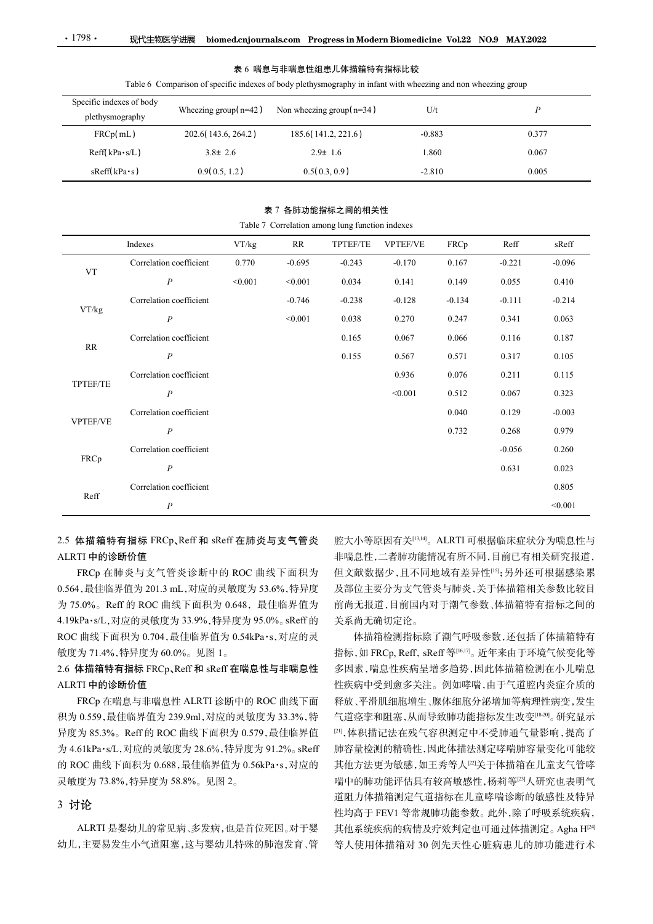| $\cdot$ 1798 $\cdot$ | 现代生物医学进展                                                                                                                                  |                          | biomed.cnjournals.com Progress in Modern Biomedicine Vol.22 NO.9 MAY.2022 |          |                 |          |                       |                  |
|----------------------|-------------------------------------------------------------------------------------------------------------------------------------------|--------------------------|---------------------------------------------------------------------------|----------|-----------------|----------|-----------------------|------------------|
|                      |                                                                                                                                           |                          |                                                                           |          |                 |          |                       |                  |
|                      |                                                                                                                                           |                          | 表 6 喘息与非喘息性组患儿体描箱特有指标比较                                                   |          |                 |          |                       |                  |
|                      | Table 6 Comparison of specific indexes of body plethysmography in infant with wheezing and non wheezing group<br>Specific indexes of body |                          |                                                                           |          |                 |          |                       |                  |
|                      | plethysmography                                                                                                                           | Wheezing group( $n=42$ ) | Non wheezing group( $n=34$ )                                              |          | U/t             |          |                       | $\boldsymbol{P}$ |
|                      | FRCp(mL)                                                                                                                                  | 202.6(143.6, 264.2)      | 185.6(141.2, 221.6)                                                       |          | $-0.883$        |          |                       | 0.377            |
| Reff(kPa·s/L)        |                                                                                                                                           | $3.8 \pm 2.6$            | $2.9 \pm 1.6$                                                             |          | 1.860           |          |                       | 0.067            |
| sReff(kPa·s)         |                                                                                                                                           | 0.9(0.5, 1.2)            | 0.5(0.3, 0.9)                                                             |          | $-2.810$        |          |                       | 0.005            |
|                      |                                                                                                                                           |                          |                                                                           |          |                 |          |                       |                  |
|                      |                                                                                                                                           |                          | 表 7 各肺功能指标之间的相关性<br>Table 7 Correlation among lung function indexes       |          |                 |          |                       |                  |
|                      | Indexes                                                                                                                                   | VT/kg                    | RR                                                                        | TPTEF/TE | <b>VPTEF/VE</b> | FRCp     | $\operatorname{Reff}$ | sReff            |
|                      | Correlation coefficient                                                                                                                   | 0.770                    | $-0.695$                                                                  | $-0.243$ | $-0.170$        | 0.167    | $-0.221$              | $-0.096$         |
| <b>VT</b>            | $\boldsymbol{P}$                                                                                                                          | < 0.001                  | < 0.001                                                                   | 0.034    | 0.141           | 0.149    | 0.055                 | 0.410            |
| VT/kg                | Correlation coefficient                                                                                                                   |                          | $-0.746$                                                                  | $-0.238$ | $-0.128$        | $-0.134$ | $-0.111$              | $-0.214$         |

## 表 7 各肺功能指标之间的相关性

VT |現代生物医学過渡 - biomed.cnjournal.s.com - Progress in Modern Biomedicine Vol.22 - NO9 MAY2022<br>
- 表 6 席島与非瑞島世銀忠儿体描稿特有指标比較<br>
able 6 Comparison of specific indexes of body platfyssmography in infant with wheezing group<br>
of body<br> <sup>P</sup> <0.001 <0.001 0.034 0.141 0.149 0.055 0.410 VT/kg Correlation coefficient -0.760 -0.064 -0.238 -0.128 -0.128 -0.114 -0.224 -0.238 -0.234 -0.128 -0.128 -0.128 -0.221 -0.063 -0.244 -0.128 -0.128 -0.128 -0.128 -0.134 -0.111 -0.214 -0.128 -0.234 -0.135 -0.235 -0.236 -0.238 -**Normal Action Progress in Modern Biomedicine Vol.22 NO.9 MAY2022**<br>
表 6 贈易与非需急性程患儿体指輪特有指标技 <br>
mparison of specific indexes of body plethysmography in infinit with wheezing aroup<br>
Wheezing group(n=42) Non wheezing group RR<sub>p</sub> and the contract of the contract of the contract of the contract of the contract of the contract of the contract of the contract of the contract of the contract of the contract of the contract of the contract of the **未6 職長与非端島性組書儿体描稿特有指标比較**<br>
able 6 Comparison of specific indexes of body plethysmography in infinit with wheezing group<br>
of body<br>
wheezing group fr=42) Non wheezing group fr=34) U/t<br>
(1.) 202.6(141.6, 264.2) 185.6(141.2, mparison of pecific inelesses of body plethysmography in inflant with wheezing and non wheezing group<br>mparison of pecific inelesses of body plethysmography in inflant with wheezing and non wheezing group<br>
Wheezing group TPTEF/TE of body<br>
whereing group (n=42) Non whereing group (n=34) U/1<br>
P<br>
-202.6(141.6, 261.2) 185.6(141.2, 221.6) -0.883 0.377<br>
-1.1<br>
-1.1<br>
-3.8± 2.6 -2.9± 1.6 1.80 0.067<br>
-s) 0.9(0.5, 1.2) 0.5(0.3, 0.9) -2.810 0.005<br>
-----------Wheczing group (n=42) Non wheczing group (n=44) Urt P<br>
202.6(143.6, 264.2) 185.6(141.2, 221.6) -0.883 0.377<br>
3.8± 2.6 2.9± 1.6 1.860 0.067<br>
0.9(0.5, 1.2) 0.5(0.3, 0.9) -2.810 0.005<br>
=<br> **1.76** The P Correlation among lung VPTEF/VE Correlation coefficient 3.040 0.013 0.270 0.241 0.341 0.046<br>
Correlation coefficient 1.0.770 0.058 0.371<br>
(amber 2.94 1.6 1.860 0.067 -<br>
<br>
<br> **Correlation coefficient 0.770** -0.003 -0.218 0.114 0.149 0.055 0.410<br>
<br>
Corre 1.882 0.667<br>
9.9(0.5,1.2) 0.9(0.3,0.9) 2.2810 0.067<br>
<br> **2.742 0.926 4.268 4.268 0.005**<br>
<br> **2.742 0.88 4.268 4.248 17FEF/TE VPTEF/VE FRCp Reff** skeff<br>
Table 7 Correlation among lang function indexes<br>
PTAg RR TPTEF/TE VPT FRCp Correlation coefficient -0.056 0.260 <sup>P</sup> 0.631 0.023 Reff Correlation coefficient 0.805 0.564,最佳临界值为 201.3 mL,对应的灵敏度为 53.6%,特异度 0.936 0.076 0.211 0.115<br>
<0.001 0.512 0.067 0.323<br>
0.040 0.129 -0.003<br>
0.732 0.268 0.979<br>
-0.056 0.260 0.631 0.023<br>
0.631 0.023<br>
0.631 0.023<br>
0.805 -0.001<br>
<br>
FRCP, SREFF (16,17)<br>
FRCP, REFF (16,17)<br>
-0.021 0.805<br>
-0.001<br>

# 2.5 体描箱特有指标 FRCp、Reff 和 sReff 在肺炎与支气管炎 ALRTI 中的诊断价值

FRCp 在肺炎与支气管炎诊断中的 ROC 曲线下面积为 为 75.0%。Reff 的 ROC 曲线下面积为 0.648, 最佳临界值为 4.19kPa·s/L,对应的灵敏度为 33.9%,特异度为 95.0%。sReff 的 ROC 曲线下面积为 0.704,最佳临界值为 0.54kPa·s,对应的灵 敏度为 71.4%,特异度为 60.0%。见图 1。

# 2.6 体描箱特有指标 FRCp、Reff 和 sReff 在喘息性与非喘息性 ALRTI 中的诊断价值

FRCp 在喘息与非喘息性 ALRTI 诊断中的 ROC 曲线下面 积为 0.559,最佳临界值为 239.9ml,对应的灵敏度为 33.3%,特 异度为 85.3%。Reff 的 ROC 曲线下面积为 0.579,最佳临界值 为 4.61kPa·s/L,对应的灵敏度为 28.6%,特异度为 91.2%。sReff 的 ROC 曲线下面积为 0.688,最佳临界值为 0.56kPa·s,对应的 灵敏度为 73.8%,特异度为 58.8%。见图 2。

# 3 讨论

幼儿,主要易发生小气道阻塞,这与婴幼儿特殊的肺泡发育、管

腔大小等原因有关[13,14] 。ALRTI 可根据临床症状分为喘息性与 非喘息性,二者肺功能情况有所不同,目前已有相关研究报道, 但文献数据少,且不同地域有差异性[15];另外还可根据感染累 及部位主要分为支气管炎与肺炎,关于体描箱相关参数比较目 前尚无报道,目前国内对于潮气参数、体描箱特有指标之间的 关系尚无确切定论。

 $P \sim 0.001$ 

ALRTI 是婴幼儿的常见病、多发病,也是首位死因。对于婴 其他系统疾病的病情及疗效判定也可通过体描测定。Agha H<sup>[24]</sup> 体描箱检测指标除了潮气呼吸参数,还包括了体描箱特有 多因素,喘息性疾病呈增多趋势,因此体描箱检测在小儿喘息 性疾病中受到愈多关注。例如哮喘,由于气道腔内炎症介质的 释放、平滑肌细胞增生、腺体细胞分泌增加等病理性病变,发生 气道痉挛和阻塞,从而导致肺功能指标发生改变[18-20]。研究显示 [21],体积描记法在残气容积测定中不受肺通气量影响,提高了 肺容量检测的精确性,因此体描法测定哮喘肺容量变化可能较 其他方法更为敏感,如王秀等人[2]关于体描箱在儿童支气管哮 喘中的肺功能评估具有较高敏感性,杨莉等[23]人研究也表明气 道阻力体描箱测定气道指标在儿童哮喘诊断的敏感性及特异 性均高于 FEV1 等常规肺功能参数。此外,除了呼吸系统疾病, 其他系统疾病的病情及疗效判定也可通过体描测定。Agha H[24] 等人使用体描箱对 30 例先天性心脏病患儿的肺功能进行术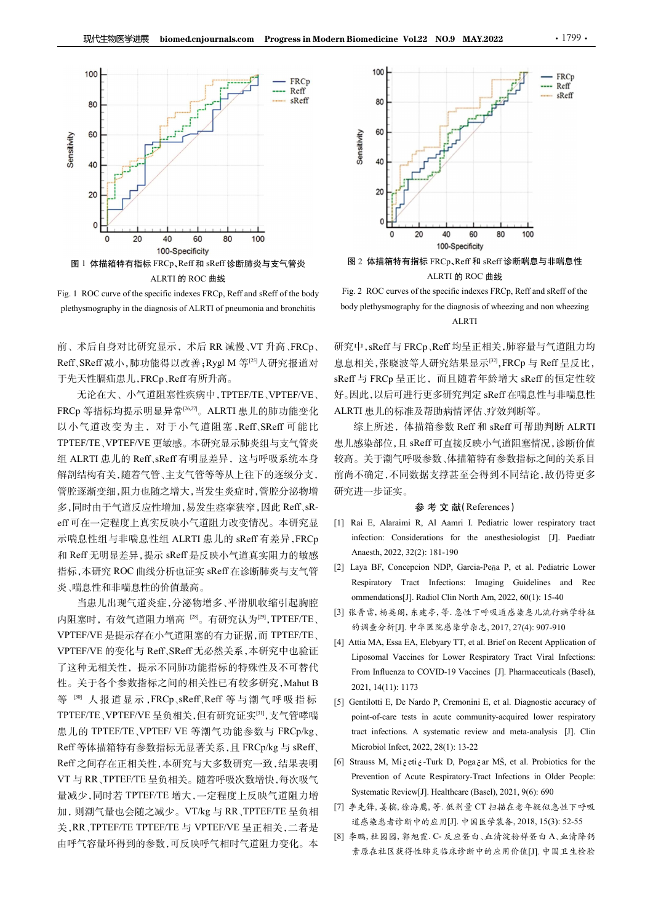

ALRTI 的 ROC 曲线

前、术后自身对比研究显示,术后 RR 减慢、VT 升高、FRCp、 于先天性膈疝患儿,FRCp、Reff 有所升高。

无论在大、小气道阻塞性疾病中,TPTEF/TE、VPTEF/VE、 FRCp 等指标均提示明显异常<sup>[26,27]</sup>。ALRTI 患儿的肺功能变化 ALR 以小气道改变为主,对于小气道阻塞,Reff、SReff 可能比 TPTEF/TE、VPTEF/VE 更敏感。本研究显示肺炎组与支气管炎 组 ALRTI 患儿的 Reff、sReff 有明显差异,这与呼吸系统本身 解剖结构有关,随着气管、主支气管等等从上往下的逐级分支, 管腔逐渐变细,阻力也随之增大,当发生炎症时,管腔分泌物增 多,同时由于气道反应性增加,易发生痉挛狭窄,因此 Reff、sReff可在一定程度上真实反映小气道阻力改变情况。本研究显 [1] Rai E, Alaraimi R, Al Aamri I. Pediatric lower respiratory tract 和 Reff 无明显差异,提示 sReff 是反映小气道真实阻力的敏感 指标,本研究 ROC 曲线分析也证实 sReff 在诊断肺炎与支气管 [2] Laya BF, Concepcion NDP, Garcia-Peña P, et al. Pediatric Lower<br>Kespiratory Tract Infections: Imaging Guidelines and Rec 炎、喘息性和非喘息性的价值最高。 性。关于各个参数指标之间的相关性已有较多研究,Mahut B

内阻塞时, 有效气道阻力增高 <sup>[28]</sup>。有研究认为<sup>[29]</sup>,TPTEF/TE、 [2] ................................. VPTEF/VE 是提示存在小气道阻塞的有力证据, 而 TPTEF/TE 的调查分析[J]. 中华医院感染学杂志, 2017, 27(4): 907-910<br>[4] Attia MA, Essa EA, Elebyary TT, et al. Brief on Recent Application of 性。关于各个参数指标之间的相关性已有较多研究,Mahut B 2021, 14(11): 1173<br>等<sup>[30]</sup> 人报道显示,FRCp、sReff、Reff 等与潮气呼吸指标 [5] Gentilotti E, De Nardo P, Cremonini E, et al. Diagnostic accuracy of<br>TPTEF/TE、VPTEF/VE 呈负相关,但有研究证实<sup>[31]</sup>,支气管哮喘 point-of-care tes TPTEF/TE、VPTEF/VE 呈负相关,但有研究证实[31],支气管哮喘 1. 但以下,我们的是最大有在小气道阻塞时,有效气道阻力增高。同时,在中国公务人的公务,Calabora Franchises Apple Transmitter (1.1 Marchises)<br>1. 机RTL 电压化 TRA SPACE TRANSFORC 前商系系 Reff 等 SPACE TRANSFORC SECTION SECTION SECTION SECTION SECTION SECTION SECTION SECTI 量减少,同时若 TPTEF/TE 增大,一定程度上反映气道阻力增 Systematic Review[J]. Healthcare (Basel), 2021, 9(6): 690 加,则潮气量也会随之减少。VT/kg 与 RR、TPTEF/TE 呈负相 Frank Extraction (Fig. 2021, 14(1) 1173<br>
An Ref 无明显差异, 提示 sRef 危反映小气道真实阻力的感感<br>
An Ref 无明显差异, 提示 sRef 危反映小气道真实阻力的感感<br>
表, RR SR BOC 曲线分析也证实 sRef 在诊断肺炎与支气管<br>
<br>
突, 喘息性和非喘息性的价值最高, 平滑肌收缩引起胸腔<br>

= 当然, 指導性, LR SR A F A F A R S 由呼气容量环得到的参数,可反映呼气相时气道阻力变化。本



图 2 体描箱特有指标 FRCp、Reff 和 sReff 诊断喘息与非喘息性 ALRTI 的 ROC 曲线

ALRTI

研究中,sReff 与 FRCp、Reff 均呈正相关,肺容量与气道阻力均 息息相关,张晓波等人研究结果显示[32] ,FRCp 与 Reff 呈反比, sReff 与 FRCp 呈正比,而且随着年龄增大 sReff 的恒定性较 好。因此,以后可进行更多研究判定 sReff 在喘息性与非喘息性 ALRTI 患儿的标准及帮助病情评估、疗效判断等。 [1] Rai E, Alaraimi R, Al Aamri I. Pediatric lower respiratory tract **E** 2 体描箱特有指标 FRCp, Reff 和 skeff 诊断编息与非嘴息性<br>
<br>
2. 2 ROC curves of the specific indexes FRCp, Reff and skeff of the<br>
pyplethysmography for the diagnosis of wherezing and non wheezing<br>
<br>
7. Pyplethysmography for the diagnos ALRTI 的 ROC 曲线<br>
2.2 ROC curves of the specific indexes FRCp, Reff and sReff of the<br>
iy plethysmography for the diagnosis of wheezing and non wheezing<br>
4LRTI<br>
7.4 P. SReff 与 FRCp ,Reff 均呈正相关,肺容量与气道阻力均<br>
相关,张晓波等人研究结果显示<sup>[12]</sup> Fig. 2 ROC curves of the specific indexes FRCp, Reff and sReff of the<br>
body plethysmography for the diagnosis of wheczing and non wheczing<br>
<br>
ALRTI<br>
<br>
研究中, sReff 与 FRCp, Reff 均呈正相关, 肺容量与气道阻力均<br>
<br>
息息相关, 张晓波等人研究結果显示<sup>pa</sup>, FR iy plethysmography for the diagnosis of wheezing and non wheezing<br>
<br>
7.4. Respiratory Fract Infections: Infections: Infections: Infections: Infections: Infections: Infections: Infections: Infections: Infections: Infectio ommendations[J]. Radiol Clin North Am, 2022, 60(1): 15-40 : 中, sReff 与 FRCp, Reff 均呈正相关, 肺容量与气道阻力均<br>相关, 张晓波等人研究结果显示<sup>[13]</sup>, FRCp 与 Reff 呈反比,<br>相关, 张晓波等人研究结果显示。FRCp 与 Reff 呈反比,<br>T j FRCp 呈正比, 而且随着年龄增大 sReff 的恒定性较<br>比, 以后可进行更多研究判定 kseff 和 sReff 可带助判断 ALRTI<br>T ... 思儿的东, 体描箱参数 Reff 和 sReff

综上所述,体描箱参数 Reff 和 sReff 可帮助判断 ALRTI 患儿感染部位,且 sReff 可直接反映小气道阻塞情况,诊断价值 较高。关于潮气呼吸参数、体描箱特有参数指标之间的关系目 前尚不确定,不同数据支撑甚至会得到不同结论,故仍待更多 研究进一步证实。 息息相关,张晓波等人研究结果显示<sup>par</sup>,FRCp 与 Reff 呈反比,<br>
sReff 与 FRCp 呈正比, 而且随着年龄增大 sReff 的恒定性较<br>
好。因此,以后可进行更多研究判定 sReff 在喘息性与非喘息性<br>
ALRTI 患儿的标准及帮助病情评估,疗效判断等。<br>
- 综上所注决,体相箱多数化和,例判断 ALRTI<br>
患人感染的 Reff 可直接反映小气道阻塞情况,诊断价值<br>
较高。关于测气呼吸参数,体描箱特有参数指标之 F与 FRCp 呈正比, 而且随着年龄增大 sReff 的恒定性较<br>因此,以后可进行更多研究判定 sReff 在喘息性与非喘息性<br>TI 患儿的标准及帮助病情评估,疗效判断等。<br>综上所述, 体描箱参数 Reff 和 sReff 可帮助判断 ALRTI<br>感头部位, Is sReff 可直接反映小气道阻塞情况, 诊断价值<br>感染平衡, El sReff 可直接反映, (心面<br>主体, 关于测气呼吸多数, 体描箱特有多数指标之间的关系<br>J<br>... 31此、以后可进行更多研究判定 sReff 在喘息性与非喘息性<br>
TL 患儿的标准及帮助病情评估 疗效判断等。<br>
SE 上所述、体描箱参数 Reff 和 sReff 可帮助判断 ALRTI<br>
感染部位. H sReff 可直接反映小气道阻塞情况, 诊断价值<br>
感染部位. H sReff 可直接反映小气道阻塞情况, 诊断价值<br>
1。关于溯气呼吸参数, 体描箱特有参数指标之间的关系<br>
H - 步证实。<br> **参 考 文 献 (Referen** TI 患儿的标准及帮助病情评估、疗效判断等。<br>
SE上所述、体描箱参数 Reff 和 sReff 可帮助判断 ALRTI<br>
感染部位, 且 sReff 可直接反映小气道阻塞情况, 诊断价值<br>
感染部位, El sReff 可直接反映小气道阻塞情况, 诊断价值<br>
i。关于潮气呼吸参数, 体描箱特有参数指标之间的关系 El<br>
i、手手端气呼吸参数, 体描箱特有参数指标之间的关系 El<br>
注进一步证实。<br> **参 考 文 献**(Refere 第上所述, 体描箱参数 Reff 和 sReff 可帮助判断 ALRTI<br>患儿感染部位,且 sReff 可直接反映小气道阻塞情况,诊断价值<br>较高。关于潮气呼吸参数,体描箱特有参数指标之间的关系目<br>前不确定,不同数据支撑甚至会得到不同结论,故仍待更多<br>研究进—步证实。<br>**参考 文 献(References)**<br>(1) Rai E, Alarami R, Al Aamri I. Pediatric lower respiratory t Results in accommunity-acquired in action of action of Action of Action of Action of Action of Action of Action<br>
is 关于潮气呼吸参数、体描箱特有参数指标之间的关系日<br>
7. 不确定, 不同数据支撑甚至会得到不同结论, 故仍待更多<br>
2. 进一步证实。<br>
2. 参考文 献(References)<br>
Rai E, Alaram

## 参 考 文 献(References)

- 示喘息性组与非喘息性组 ALRTI 患儿的 sReff 有差异,FRCp infection: Considerations for the anesthesiologist [J]. Paediatr
	- 当患儿出现气道炎症,分泌物增多、平滑肌收缩引起胸腔
		- [3] 张晋雷, 杨英阁, 东建亭, 等. 急性下呼吸道感染患儿流行病学特征
- VPTEF/VE 的变化与 Reff、SReff 无必然关系,本研究中也验证<br>Liposomal Vaccines for Lower Respiratory Tract Viral Infections: 了这种无相关性,提示不同肺功能指标的特殊性及不可替代 From Influenza to COVID-19 Vaccines [J]. Pharmaceuticals (Basel).
- is. 关于调度参数, 体描箱特有参数指标。<br>
<br>
i. 关于测气呼吸参数, 体描箱特有参数指标之间的关系<br>
<br>
i. 不确定, 不同数据支撑甚至会得到不同结论, 故仍待更多<br>
<br>
<br>
2. <br>
<br> **ai** E, Alaraimi R, Al Aamri I. Pediatric lower respiratory tract<br>
infection: Considerations for the anesthesiologist [J] is A 1 in C+1 year, 2022, 2022, 2022, 2022, 2022, 2022, 2022, 2022, 2023<br>
TA (前 15-222 2022, 2022, 13-22<br>
TA (mg) The Networth Team in R, Al Annri I. Pediatric lower respiratory tract<br>
infection: Considerations for the an 1919年75900左、The Marchine Strain Face of Boston Face of Byth Strain Face of Strain Face of Strain Strain Face of Strain Strain In Pediatric lower respiratory tract<br>
infection: Considerations for the anesthesiologist [J]. i.ztr—2F lit.3%<br>
<br>
Rai E, Alaraimi R, Al Aamri I. Pediatric lower respiratory tract<br>
infection: Considerations for the anesthesiologist [J]. Pacdiatr<br>
Anaesth, 2022, 32(2): 181-190<br>
<br>
Laya BF, Concepcion NDP, Garcia-Pena **Formation 18.** Al Assumi 1. Pediatric lower respiratory tract<br>infection: Considerations for the anesthesiologist [J]. Paediatr<br>Anaesth, 2022, 32(2): 181-190<br>Alaya BF, Concepcion NDP, Garcia-Pena P, et al. Pediatric Lower nfection: Considerations for the anesthesiologist [J]. Pacdiatr<br>Anassh, 2022, 32(2): 181-190<br>Laya BF, Concepcion NDP, Garcia-Pena P, et al. Pediatric Lower<br>Respiratory Tract Infections: Imaging Guidelines and Rec<br>ommendat Anaesth, 2022, 32(2): 181-190<br>
[2] Laya BF, Concepton NDP, Garcia-Pena P, et al. Pediatric Lower<br>
Respiratory Tract Infections: Imaging Guidelines and Rec<br>
ommendations[J], Radiol Clin North Am, 2022, 60(1): 15-40<br>
[3] 张晋
- VT 与 RR、TPTEF/TE 呈负相关。随着呼吸次数增快,每次吸气 Prevention of Acute Respiratory-Tract Infections in Older People:
	- [7] 李先锋, 姜槟, 徐海鹰, 等. 低剂量 CT 扫描在老年疑似急性下呼吸
	- 素原在社区获得性肺炎临床诊断中的应用价值[J]. 中国卫生检验